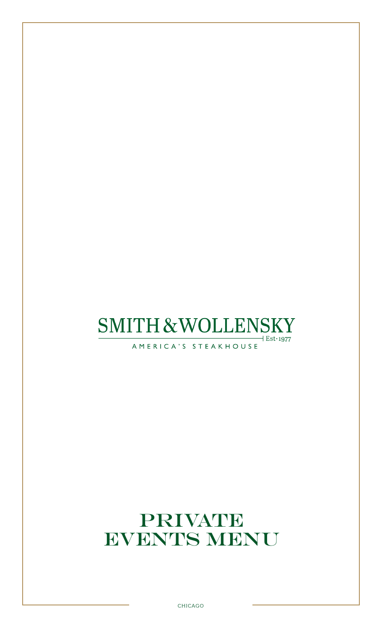# **SMITH & WOLLENSKY**  $+$  Est $\cdot$ 1977

AMERICA'S STEAKHOUSE

# PRIVATE EVENTS MENU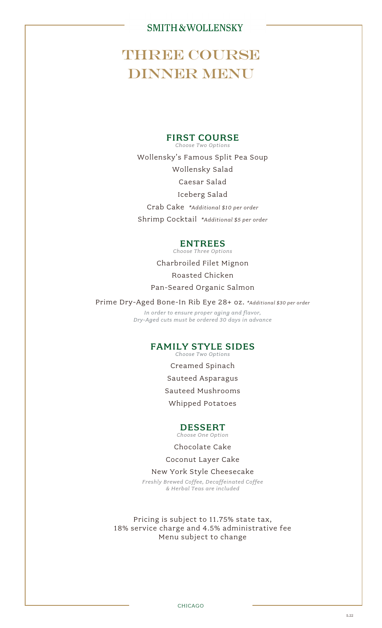# **THREE COURSE** DINNER MENU

## FIRST COURSE

*Choose Two Options* Wollensky's Famous Split Pea Soup

Wollensky Salad

Caesar Salad

Iceberg Salad

Crab Cake *\*Additional \$10 per order* Shrimp Cocktail *\*Additional \$5 per order*

## ENTREES

*Choose Three Options*

Charbroiled Filet Mignon Roasted Chicken Pan-Seared Organic Salmon

Prime Dry-Aged Bone-In Rib Eye 28+ oz. *\*Additional \$<sup>30</sup> per order*

*In order to ensure proper aging and flavor, Dry-Aged cuts must be ordered 30 days in advance*

## FAMILY STYLE SIDES

*Choose Two Options*

Creamed Spinach Sauteed Asparagus

Sauteed Mushrooms

Whipped Potatoes

## DESSERT

*Choose One Option*

Chocolate Cake

Coconut Layer Cake

### New York Style Cheesecake

*Freshly Brewed Coffee, Decaffeinated Coffee & Herbal Teas are included*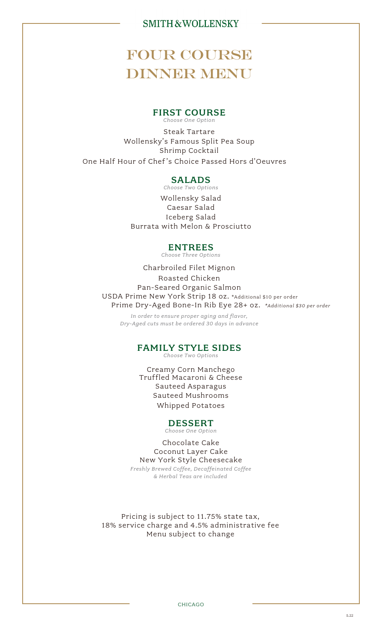# FOUR COURSE DINNER MENU

#### FIRST COURSE *Choose One Option*

Steak Tartare Wollensky's Famous Split Pea Soup Shrimp Cocktail One Half Hour of Chef's Choice Passed Hors d'Oeuvres

### SALADS

*Choose Two Options*

Wollensky Salad Caesar Salad Iceberg Salad Burrata with Melon & Prosciutto

### ENTREES

*Choose Three Options*

Charbroiled Filet Mignon Roasted Chicken Pan-Seared Organic Salmon USDA Prime New York Strip 18 oz. \*Additional \$10 per order Prime Dry-Aged Bone-In Rib Eye 28+ oz. *\*Additional \$30 per order*

*In order to ensure proper aging and flavor, Dry-Aged cuts must be ordered 30 days in advance*

### FAMILY STYLE SIDES

*Choose Two Options*

Creamy Corn Manchego Truffled Macaroni & Cheese Sauteed Asparagus Sauteed Mushrooms Whipped Potatoes

## DESSERT

*Choose One Option*

Chocolate Cake Coconut Layer Cake New York Style Cheesecake *Freshly Brewed Coffee, Decaffeinated Coffee*

*& Herbal Teas are included*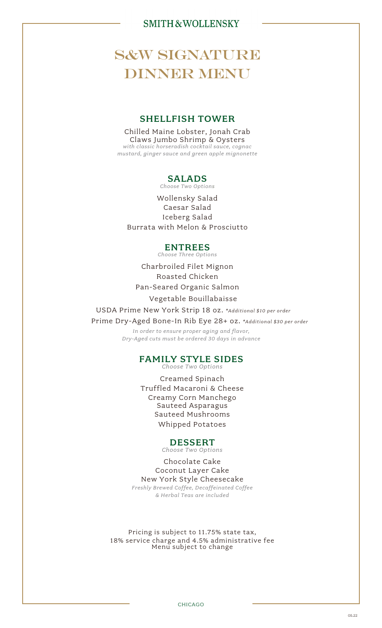# **S&W SIGNATURE** DINNER MENU

### SHELLFISH TOWER

Chilled Maine Lobster, Jonah Crab Claws Jumbo Shrimp & Oysters *with classic horseradish cocktail sauce, cognac mustard, ginger sauce and green apple mignonette*

## SALADS

*Choose Two Options*

Wollensky Salad Caesar Salad Iceberg Salad Burrata with Melon & Prosciutto

### ENTREES

*Choose Three Options*

Charbroiled Filet Mignon Roasted Chicken Pan-Seared Organic Salmon

Vegetable Bouillabaisse

USDA Prime New York Strip 18 oz. *\*Additional \$10 per order*

Prime Dry-Aged Bone-In Rib Eye 28+ oz. *\*Additional \$30 per order*

*In order to ensure proper aging and flavor, Dry-Aged cuts must be ordered 30 days in advance*

# FAMILY STYLE SIDES

*Choose Two Options*

Creamed Spinach Truffled Macaroni & Cheese Creamy Corn Manchego Sauteed Asparagus Sauteed Mushrooms Whipped Potatoes

### DESSERT

*Choose Two Options*

Chocolate Cake Coconut Layer Cake New York Style Cheesecake *Freshly Brewed Coffee, Decaffeinated Coffee & Herbal Teas are included*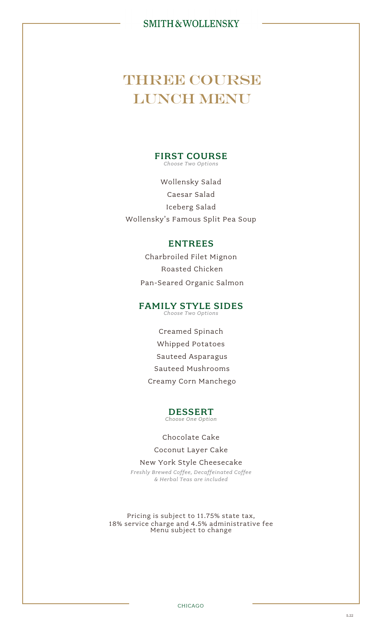# **THREE COURSE** LUNCH MENU

#### FIRST COURSE *Choose Two Options*

Wollensky Salad Caesar Salad Iceberg Salad Wollensky's Famous Split Pea Soup

## ENTREES

Charbroiled Filet Mignon Roasted Chicken Pan-Seared Organic Salmon

## FAMILY STYLE SIDES

*Choose Two Options*

Creamed Spinach Whipped Potatoes Sauteed Asparagus Sauteed Mushrooms Creamy Corn Manchego

#### DESSERT *Choose One Option*

### Chocolate Cake

Coconut Layer Cake

New York Style Cheesecake *Freshly Brewed Coffee, Decaffeinated Coffee & Herbal Teas are included*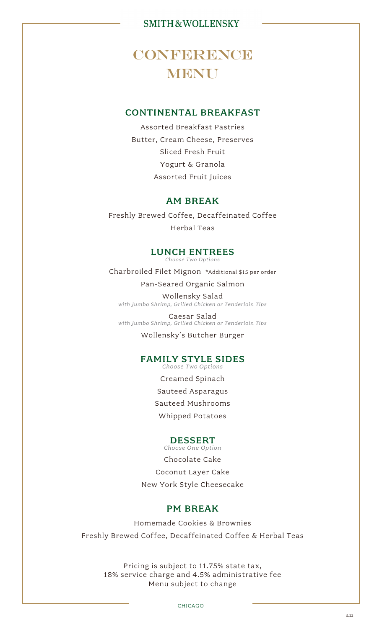# CONFERENCE **MENU**

## CONTINENTAL BREAKFAST

Assorted Breakfast Pastries Butter, Cream Cheese, Preserves Sliced Fresh Fruit Yogurt & Granola Assorted Fruit Juices

## AM BREAK

Freshly Brewed Coffee, Decaffeinated Coffee Herbal Teas

## LUNCH ENTREES

*Choose Two Options*

Charbroiled Filet Mignon \*Additional \$15 per order

Pan-Seared Organic Salmon

Wollensky Salad *with Jumbo Shrimp, Grilled Chicken or Tenderloin Tips*

Caesar Salad *with Jumbo Shrimp, Grilled Chicken or Tenderloin Tips*

Wollensky's Butcher Burger

#### FAMILY STYLE SIDES *Choose Two Options*

Creamed Spinach Sauteed Asparagus Sauteed Mushrooms Whipped Potatoes

### DESSERT

*Choose One Option* Chocolate Cake Coconut Layer Cake New York Style Cheesecake

### PM BREAK

Homemade Cookies & Brownies Freshly Brewed Coffee, Decaffeinated Coffee & Herbal Teas

Pricing is subject to 11.75% state tax, 18% service charge and 4.5% administrative fee Menu subject to change

CHICAGO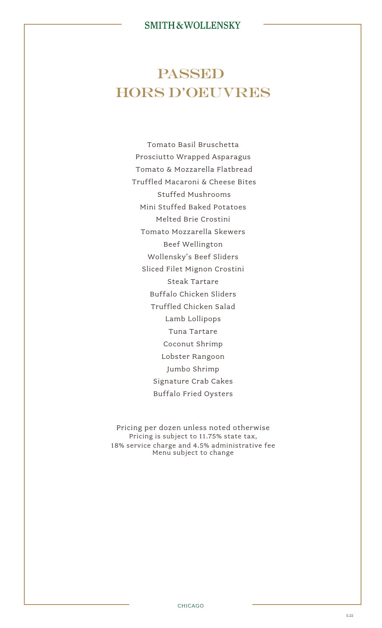# PASSED HORS D'OEUVRES

Tomato Basil Bruschetta Prosciutto Wrapped Asparagus Tomato & Mozzarella Flatbread Truffled Macaroni & Cheese Bites Stuffed Mushrooms Mini Stuffed Baked Potatoes Melted Brie Crostini Tomato Mozzarella Skewers Beef Wellington Wollensky's Beef Sliders Sliced Filet Mignon Crostini Steak Tartare Buffalo Chicken Sliders Truffled Chicken Salad Lamb Lollipops Tuna Tartare Coconut Shrimp Lobster Rangoon Jumbo Shrimp Signature Crab Cakes Buffalo Fried Oysters

Pricing per dozen unless noted otherwise Pricing is subject to 11.75% state tax, 18% service charge and 4.5% administrative fee Menu subject to change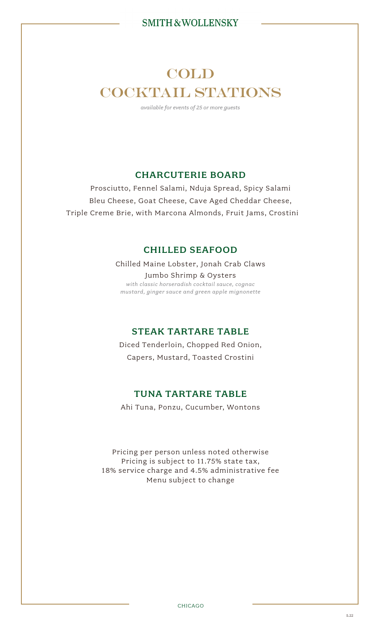# COLD COCKTAIL STATIONS

*available for events of 25 or more guests*

# CHARCUTERIE BOARD

Prosciutto, Fennel Salami, Nduja Spread, Spicy Salami Bleu Cheese, Goat Cheese, Cave Aged Cheddar Cheese, Triple Creme Brie, with Marcona Almonds, Fruit Jams, Crostini

## CHILLED SEAFOOD

Chilled Maine Lobster, Jonah Crab Claws Jumbo Shrimp & Oysters *with classic horseradish cocktail sauce, cognac mustard, ginger sauce and green apple mignonette*

## STEAK TARTARE TABLE

Diced Tenderloin, Chopped Red Onion, Capers, Mustard, Toasted Crostini

## TUNA TARTARE TABLE

Ahi Tuna, Ponzu, Cucumber, Wontons

Pricing per person unless noted otherwise Pricing is subject to 11.75% state tax, 18% service charge and 4.5% administrative fee Menu subject to change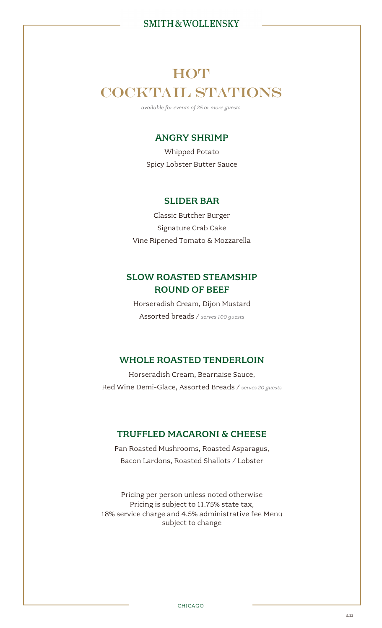# **HOT** COCKTAIL STATIONS

*available for events of 25 or more guests*

## ANGRY SHRIMP

Whipped Potato Spicy Lobster Butter Sauce

## SLIDER BAR

Classic Butcher Burger Signature Crab Cake Vine Ripened Tomato & Mozzarella

# SLOW ROASTED STEAMSHIP ROUND OF BEEF

Horseradish Cream, Dijon Mustard Assorted breads / *serves 100 guests*

## WHOLE ROASTED TENDERLOIN

Horseradish Cream, Bearnaise Sauce, Red Wine Demi-Glace, Assorted Breads / *serves 20 guests*

## TRUFFLED MACARONI & CHEESE

Pan Roasted Mushrooms, Roasted Asparagus, Bacon Lardons, Roasted Shallots / Lobster

Pricing per person unless noted otherwise Pricing is subject to 11.75% state tax, 18% service charge and 4.5% administrative fee Menu subject to change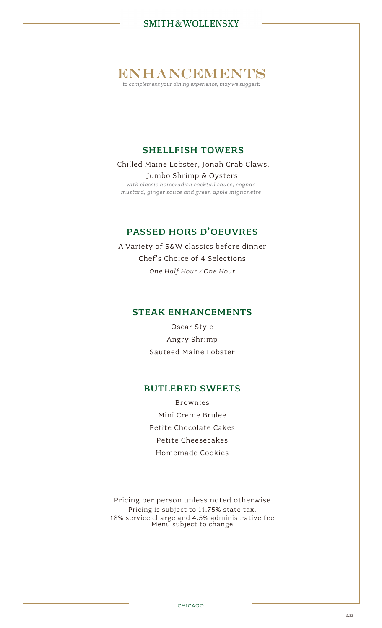ENHANCEMENTS

*to complement your dining experience, may we suggest:*

# SHELLFISH TOWERS

Chilled Maine Lobster, Jonah Crab Claws, Jumbo Shrimp & Oysters *with classic horseradish cocktail sauce, cognac mustard, ginger sauce and green apple mignonette*

## PASSED HORS D'OEUVRES

A Variety of S&W classics before dinner Chef's Choice of 4 Selections *One Half Hour / One Hour*

## STEAK ENHANCEMENTS

Oscar Style Angry Shrimp Sauteed Maine Lobster

## BUTLERED SWEETS

Brownies Mini Creme Brulee Petite Chocolate Cakes Petite Cheesecakes Homemade Cookies

Pricing per person unless noted otherwise Pricing is subject to 11.75% state tax, 18% service charge and 4.5% administrative fee Menu subject to change